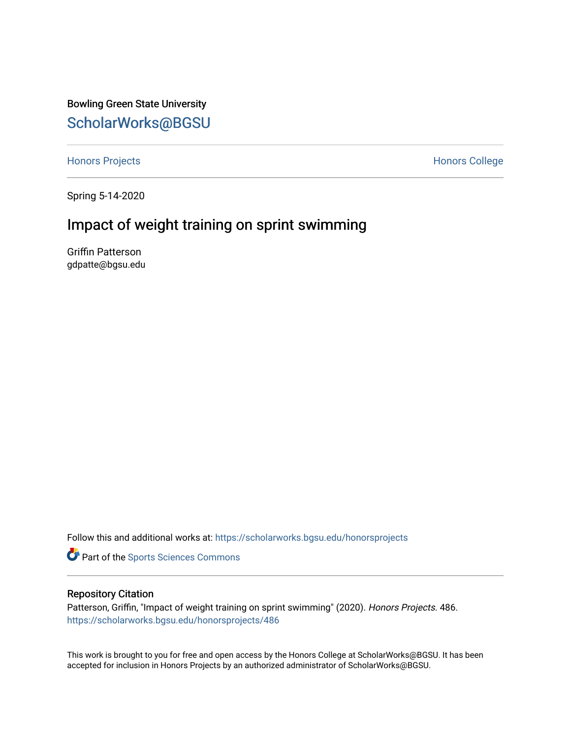Bowling Green State University [ScholarWorks@BGSU](https://scholarworks.bgsu.edu/) 

[Honors Projects](https://scholarworks.bgsu.edu/honorsprojects) **Honors** College

Spring 5-14-2020

# Impact of weight training on sprint swimming

Griffin Patterson gdpatte@bgsu.edu

Follow this and additional works at: [https://scholarworks.bgsu.edu/honorsprojects](https://scholarworks.bgsu.edu/honorsprojects?utm_source=scholarworks.bgsu.edu%2Fhonorsprojects%2F486&utm_medium=PDF&utm_campaign=PDFCoverPages) 

**Part of the Sports Sciences Commons** 

### Repository Citation

Patterson, Griffin, "Impact of weight training on sprint swimming" (2020). Honors Projects. 486. [https://scholarworks.bgsu.edu/honorsprojects/486](https://scholarworks.bgsu.edu/honorsprojects/486?utm_source=scholarworks.bgsu.edu%2Fhonorsprojects%2F486&utm_medium=PDF&utm_campaign=PDFCoverPages) 

This work is brought to you for free and open access by the Honors College at ScholarWorks@BGSU. It has been accepted for inclusion in Honors Projects by an authorized administrator of ScholarWorks@BGSU.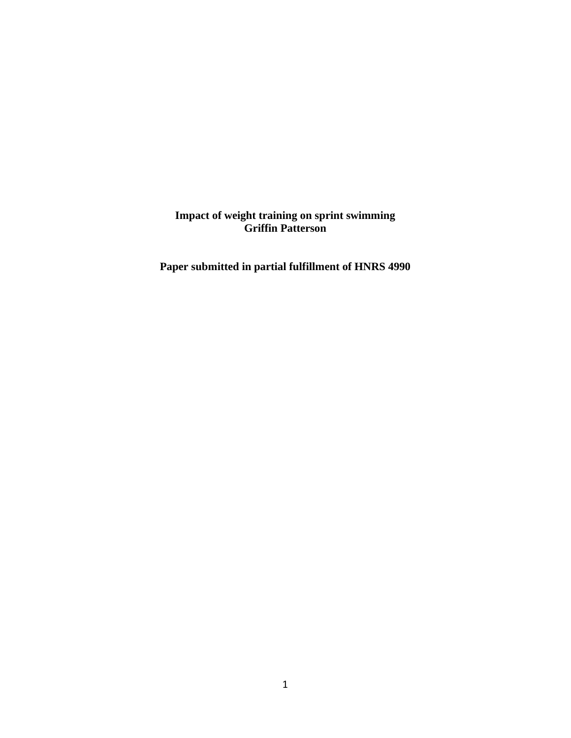**Impact of weight training on sprint swimming Griffin Patterson**

**Paper submitted in partial fulfillment of HNRS 4990**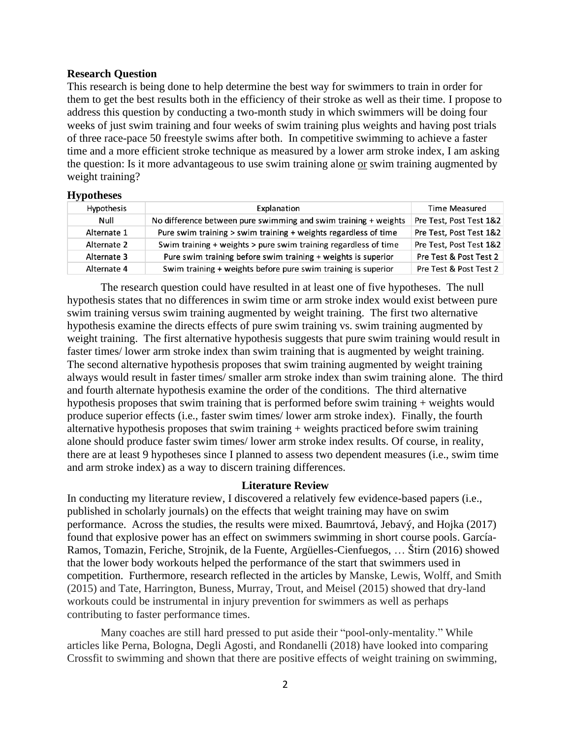## **Research Question**

This research is being done to help determine the best way for swimmers to train in order for them to get the best results both in the efficiency of their stroke as well as their time. I propose to address this question by conducting a two-month study in which swimmers will be doing four weeks of just swim training and four weeks of swim training plus weights and having post trials of three race-pace 50 freestyle swims after both. In competitive swimming to achieve a faster time and a more efficient stroke technique as measured by a lower arm stroke index, I am asking the question: Is it more advantageous to use swim training alone or swim training augmented by weight training?

## **Hypotheses**

| . .         |                                                                 |                         |
|-------------|-----------------------------------------------------------------|-------------------------|
| Hypothesis  | Explanation                                                     | <b>Time Measured</b>    |
| Null        | No difference between pure swimming and swim training + weights | Pre Test, Post Test 1&2 |
| Alternate 1 | Pure swim training > swim training + weights regardless of time | Pre Test, Post Test 1&2 |
| Alternate 2 | Swim training + weights > pure swim training regardless of time | Pre Test, Post Test 1&2 |
| Alternate 3 | Pure swim training before swim training + weights is superior   | Pre Test & Post Test 2  |
| Alternate 4 | Swim training + weights before pure swim training is superior   | Pre Test & Post Test 2  |
|             |                                                                 |                         |

The research question could have resulted in at least one of five hypotheses. The null hypothesis states that no differences in swim time or arm stroke index would exist between pure swim training versus swim training augmented by weight training. The first two alternative hypothesis examine the directs effects of pure swim training vs. swim training augmented by weight training. The first alternative hypothesis suggests that pure swim training would result in faster times/ lower arm stroke index than swim training that is augmented by weight training. The second alternative hypothesis proposes that swim training augmented by weight training always would result in faster times/ smaller arm stroke index than swim training alone. The third and fourth alternate hypothesis examine the order of the conditions. The third alternative hypothesis proposes that swim training that is performed before swim training + weights would produce superior effects (i.e., faster swim times/ lower arm stroke index). Finally, the fourth alternative hypothesis proposes that swim training + weights practiced before swim training alone should produce faster swim times/ lower arm stroke index results. Of course, in reality, there are at least 9 hypotheses since I planned to assess two dependent measures (i.e., swim time and arm stroke index) as a way to discern training differences.

### **Literature Review**

In conducting my literature review, I discovered a relatively few evidence-based papers (i.e., published in scholarly journals) on the effects that weight training may have on swim performance. Across the studies, the results were mixed. Baumrtová, Jebavý, and Hojka (2017) found that explosive power has an effect on swimmers swimming in short course pools. García-Ramos, Tomazin, Feriche, Strojnik, de la Fuente, Argüelles-Cienfuegos, … Štirn (2016) showed that the lower body workouts helped the performance of the start that swimmers used in competition. Furthermore, research reflected in the articles by Manske, Lewis, Wolff, and Smith (2015) and Tate, Harrington, Buness, Murray, Trout, and Meisel (2015) showed that dry-land workouts could be instrumental in injury prevention for swimmers as well as perhaps contributing to faster performance times.

Many coaches are still hard pressed to put aside their "pool-only-mentality." While articles like Perna, Bologna, Degli Agosti, and Rondanelli (2018) have looked into comparing Crossfit to swimming and shown that there are positive effects of weight training on swimming,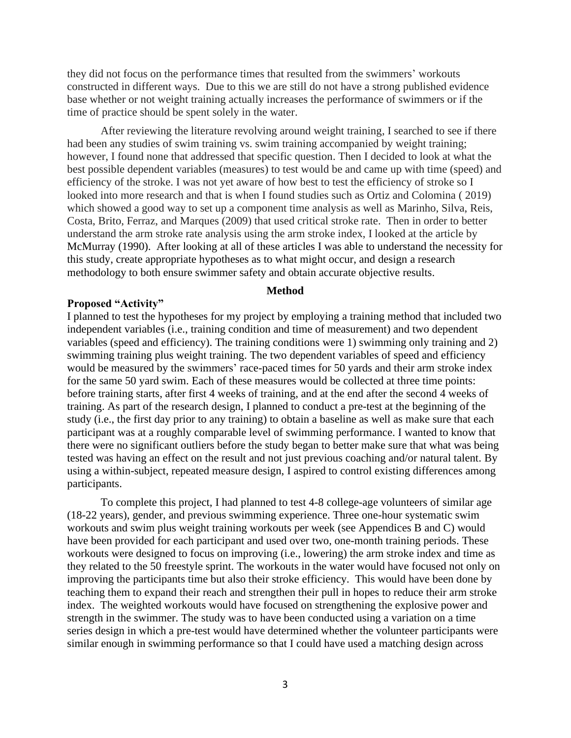they did not focus on the performance times that resulted from the swimmers' workouts constructed in different ways. Due to this we are still do not have a strong published evidence base whether or not weight training actually increases the performance of swimmers or if the time of practice should be spent solely in the water.

After reviewing the literature revolving around weight training, I searched to see if there had been any studies of swim training vs. swim training accompanied by weight training; however, I found none that addressed that specific question. Then I decided to look at what the best possible dependent variables (measures) to test would be and came up with time (speed) and efficiency of the stroke. I was not yet aware of how best to test the efficiency of stroke so I looked into more research and that is when I found studies such as Ortiz and Colomina ( 2019) which showed a good way to set up a component time analysis as well as Marinho, Silva, Reis, Costa, Brito, Ferraz, and Marques (2009) that used critical stroke rate. Then in order to better understand the arm stroke rate analysis using the arm stroke index, I looked at the article by McMurray (1990). After looking at all of these articles I was able to understand the necessity for this study, create appropriate hypotheses as to what might occur, and design a research methodology to both ensure swimmer safety and obtain accurate objective results.

## **Method**

### **Proposed "Activity"**

I planned to test the hypotheses for my project by employing a training method that included two independent variables (i.e., training condition and time of measurement) and two dependent variables (speed and efficiency). The training conditions were 1) swimming only training and 2) swimming training plus weight training. The two dependent variables of speed and efficiency would be measured by the swimmers' race-paced times for 50 yards and their arm stroke index for the same 50 yard swim. Each of these measures would be collected at three time points: before training starts, after first 4 weeks of training, and at the end after the second 4 weeks of training. As part of the research design, I planned to conduct a pre-test at the beginning of the study (i.e., the first day prior to any training) to obtain a baseline as well as make sure that each participant was at a roughly comparable level of swimming performance. I wanted to know that there were no significant outliers before the study began to better make sure that what was being tested was having an effect on the result and not just previous coaching and/or natural talent. By using a within-subject, repeated measure design, I aspired to control existing differences among participants.

To complete this project, I had planned to test 4-8 college-age volunteers of similar age (18-22 years), gender, and previous swimming experience. Three one-hour systematic swim workouts and swim plus weight training workouts per week (see Appendices B and C) would have been provided for each participant and used over two, one-month training periods. These workouts were designed to focus on improving (i.e., lowering) the arm stroke index and time as they related to the 50 freestyle sprint. The workouts in the water would have focused not only on improving the participants time but also their stroke efficiency. This would have been done by teaching them to expand their reach and strengthen their pull in hopes to reduce their arm stroke index. The weighted workouts would have focused on strengthening the explosive power and strength in the swimmer. The study was to have been conducted using a variation on a time series design in which a pre-test would have determined whether the volunteer participants were similar enough in swimming performance so that I could have used a matching design across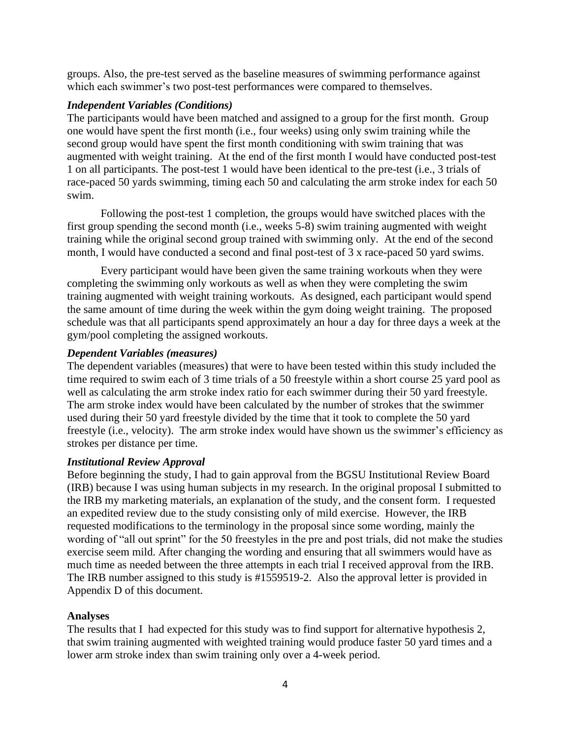groups. Also, the pre-test served as the baseline measures of swimming performance against which each swimmer's two post-test performances were compared to themselves.

## *Independent Variables (Conditions)*

The participants would have been matched and assigned to a group for the first month. Group one would have spent the first month (i.e., four weeks) using only swim training while the second group would have spent the first month conditioning with swim training that was augmented with weight training. At the end of the first month I would have conducted post-test 1 on all participants. The post-test 1 would have been identical to the pre-test (i.e., 3 trials of race-paced 50 yards swimming, timing each 50 and calculating the arm stroke index for each 50 swim.

Following the post-test 1 completion, the groups would have switched places with the first group spending the second month (i.e., weeks 5-8) swim training augmented with weight training while the original second group trained with swimming only. At the end of the second month, I would have conducted a second and final post-test of 3 x race-paced 50 yard swims.

Every participant would have been given the same training workouts when they were completing the swimming only workouts as well as when they were completing the swim training augmented with weight training workouts. As designed, each participant would spend the same amount of time during the week within the gym doing weight training. The proposed schedule was that all participants spend approximately an hour a day for three days a week at the gym/pool completing the assigned workouts.

## *Dependent Variables (measures)*

The dependent variables (measures) that were to have been tested within this study included the time required to swim each of 3 time trials of a 50 freestyle within a short course 25 yard pool as well as calculating the arm stroke index ratio for each swimmer during their 50 yard freestyle. The arm stroke index would have been calculated by the number of strokes that the swimmer used during their 50 yard freestyle divided by the time that it took to complete the 50 yard freestyle (i.e., velocity). The arm stroke index would have shown us the swimmer's efficiency as strokes per distance per time.

## *Institutional Review Approval*

Before beginning the study, I had to gain approval from the BGSU Institutional Review Board (IRB) because I was using human subjects in my research. In the original proposal I submitted to the IRB my marketing materials, an explanation of the study, and the consent form. I requested an expedited review due to the study consisting only of mild exercise. However, the IRB requested modifications to the terminology in the proposal since some wording, mainly the wording of "all out sprint" for the 50 freestyles in the pre and post trials, did not make the studies exercise seem mild. After changing the wording and ensuring that all swimmers would have as much time as needed between the three attempts in each trial I received approval from the IRB. The IRB number assigned to this study is #1559519-2. Also the approval letter is provided in Appendix D of this document.

## **Analyses**

The results that I had expected for this study was to find support for alternative hypothesis 2, that swim training augmented with weighted training would produce faster 50 yard times and a lower arm stroke index than swim training only over a 4-week period.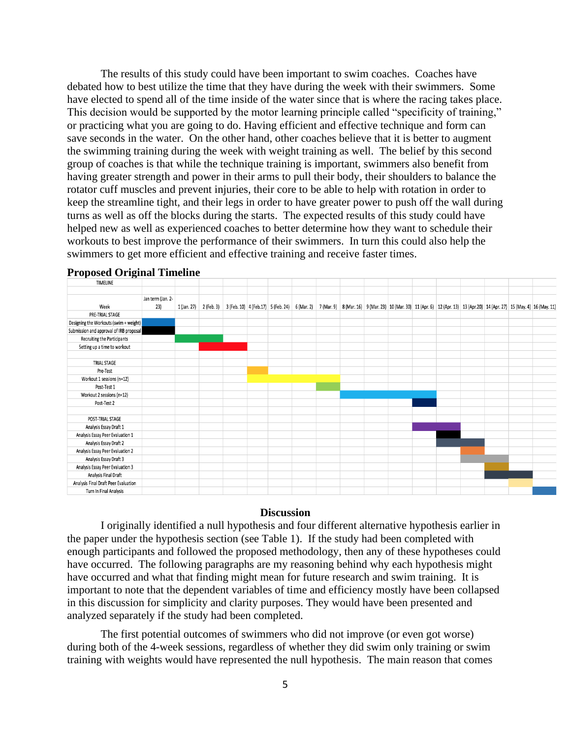The results of this study could have been important to swim coaches. Coaches have debated how to best utilize the time that they have during the week with their swimmers. Some have elected to spend all of the time inside of the water since that is where the racing takes place. This decision would be supported by the motor learning principle called "specificity of training," or practicing what you are going to do. Having efficient and effective technique and form can save seconds in the water. On the other hand, other coaches believe that it is better to augment the swimming training during the week with weight training as well. The belief by this second group of coaches is that while the technique training is important, swimmers also benefit from having greater strength and power in their arms to pull their body, their shoulders to balance the rotator cuff muscles and prevent injuries, their core to be able to help with rotation in order to keep the streamline tight, and their legs in order to have greater power to push off the wall during turns as well as off the blocks during the starts. The expected results of this study could have helped new as well as experienced coaches to better determine how they want to schedule their workouts to best improve the performance of their swimmers. In turn this could also help the swimmers to get more efficient and effective training and receive faster times.



# **Proposed Original Timeline**

#### **Discussion**

I originally identified a null hypothesis and four different alternative hypothesis earlier in the paper under the hypothesis section (see Table 1). If the study had been completed with enough participants and followed the proposed methodology, then any of these hypotheses could have occurred. The following paragraphs are my reasoning behind why each hypothesis might have occurred and what that finding might mean for future research and swim training. It is important to note that the dependent variables of time and efficiency mostly have been collapsed in this discussion for simplicity and clarity purposes. They would have been presented and analyzed separately if the study had been completed.

The first potential outcomes of swimmers who did not improve (or even got worse) during both of the 4-week sessions, regardless of whether they did swim only training or swim training with weights would have represented the null hypothesis. The main reason that comes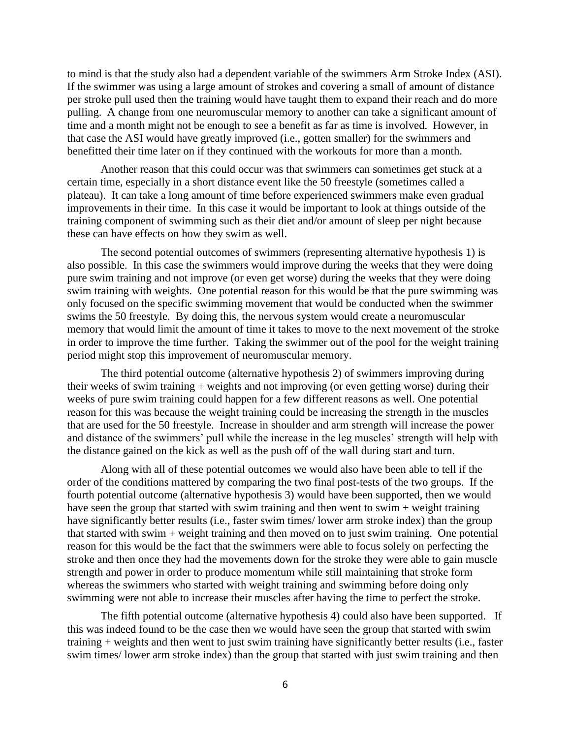to mind is that the study also had a dependent variable of the swimmers Arm Stroke Index (ASI). If the swimmer was using a large amount of strokes and covering a small of amount of distance per stroke pull used then the training would have taught them to expand their reach and do more pulling. A change from one neuromuscular memory to another can take a significant amount of time and a month might not be enough to see a benefit as far as time is involved. However, in that case the ASI would have greatly improved (i.e., gotten smaller) for the swimmers and benefitted their time later on if they continued with the workouts for more than a month.

Another reason that this could occur was that swimmers can sometimes get stuck at a certain time, especially in a short distance event like the 50 freestyle (sometimes called a plateau). It can take a long amount of time before experienced swimmers make even gradual improvements in their time. In this case it would be important to look at things outside of the training component of swimming such as their diet and/or amount of sleep per night because these can have effects on how they swim as well.

The second potential outcomes of swimmers (representing alternative hypothesis 1) is also possible. In this case the swimmers would improve during the weeks that they were doing pure swim training and not improve (or even get worse) during the weeks that they were doing swim training with weights. One potential reason for this would be that the pure swimming was only focused on the specific swimming movement that would be conducted when the swimmer swims the 50 freestyle. By doing this, the nervous system would create a neuromuscular memory that would limit the amount of time it takes to move to the next movement of the stroke in order to improve the time further. Taking the swimmer out of the pool for the weight training period might stop this improvement of neuromuscular memory.

The third potential outcome (alternative hypothesis 2) of swimmers improving during their weeks of swim training + weights and not improving (or even getting worse) during their weeks of pure swim training could happen for a few different reasons as well. One potential reason for this was because the weight training could be increasing the strength in the muscles that are used for the 50 freestyle. Increase in shoulder and arm strength will increase the power and distance of the swimmers' pull while the increase in the leg muscles' strength will help with the distance gained on the kick as well as the push off of the wall during start and turn.

Along with all of these potential outcomes we would also have been able to tell if the order of the conditions mattered by comparing the two final post-tests of the two groups. If the fourth potential outcome (alternative hypothesis 3) would have been supported, then we would have seen the group that started with swim training and then went to swim + weight training have significantly better results (i.e., faster swim times/ lower arm stroke index) than the group that started with swim + weight training and then moved on to just swim training. One potential reason for this would be the fact that the swimmers were able to focus solely on perfecting the stroke and then once they had the movements down for the stroke they were able to gain muscle strength and power in order to produce momentum while still maintaining that stroke form whereas the swimmers who started with weight training and swimming before doing only swimming were not able to increase their muscles after having the time to perfect the stroke.

The fifth potential outcome (alternative hypothesis 4) could also have been supported. If this was indeed found to be the case then we would have seen the group that started with swim training + weights and then went to just swim training have significantly better results (i.e., faster swim times/ lower arm stroke index) than the group that started with just swim training and then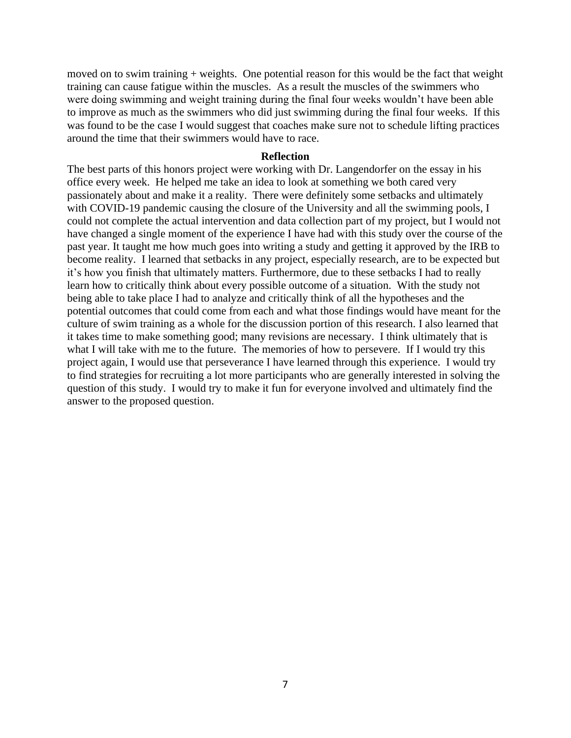moved on to swim training + weights. One potential reason for this would be the fact that weight training can cause fatigue within the muscles. As a result the muscles of the swimmers who were doing swimming and weight training during the final four weeks wouldn't have been able to improve as much as the swimmers who did just swimming during the final four weeks. If this was found to be the case I would suggest that coaches make sure not to schedule lifting practices around the time that their swimmers would have to race.

#### **Reflection**

The best parts of this honors project were working with Dr. Langendorfer on the essay in his office every week. He helped me take an idea to look at something we both cared very passionately about and make it a reality. There were definitely some setbacks and ultimately with COVID-19 pandemic causing the closure of the University and all the swimming pools, I could not complete the actual intervention and data collection part of my project, but I would not have changed a single moment of the experience I have had with this study over the course of the past year. It taught me how much goes into writing a study and getting it approved by the IRB to become reality. I learned that setbacks in any project, especially research, are to be expected but it's how you finish that ultimately matters. Furthermore, due to these setbacks I had to really learn how to critically think about every possible outcome of a situation. With the study not being able to take place I had to analyze and critically think of all the hypotheses and the potential outcomes that could come from each and what those findings would have meant for the culture of swim training as a whole for the discussion portion of this research. I also learned that it takes time to make something good; many revisions are necessary. I think ultimately that is what I will take with me to the future. The memories of how to persevere. If I would try this project again, I would use that perseverance I have learned through this experience. I would try to find strategies for recruiting a lot more participants who are generally interested in solving the question of this study. I would try to make it fun for everyone involved and ultimately find the answer to the proposed question.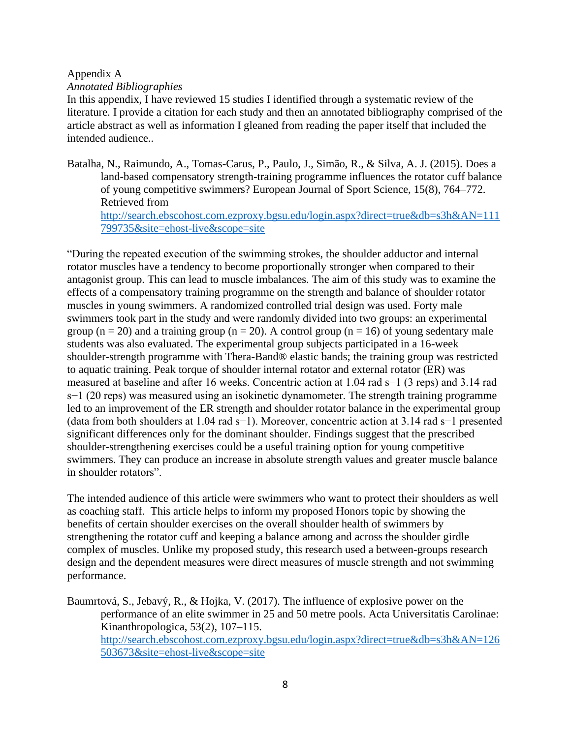## Appendix A

## *Annotated Bibliographies*

In this appendix, I have reviewed 15 studies I identified through a systematic review of the literature. I provide a citation for each study and then an annotated bibliography comprised of the article abstract as well as information I gleaned from reading the paper itself that included the intended audience..

Batalha, N., Raimundo, A., Tomas-Carus, P., Paulo, J., Simão, R., & Silva, A. J. (2015). Does a land-based compensatory strength-training programme influences the rotator cuff balance of young competitive swimmers? European Journal of Sport Science, 15(8), 764–772. Retrieved from [http://search.ebscohost.com.ezproxy.bgsu.edu/login.aspx?direct=true&db=s3h&AN=111](http://search.ebscohost.com.ezproxy.bgsu.edu/login.aspx?direct=true&db=s3h&AN=111799735&site=ehost-live&scope=site) [799735&site=ehost-live&scope=site](http://search.ebscohost.com.ezproxy.bgsu.edu/login.aspx?direct=true&db=s3h&AN=111799735&site=ehost-live&scope=site)

"During the repeated execution of the swimming strokes, the shoulder adductor and internal rotator muscles have a tendency to become proportionally stronger when compared to their antagonist group. This can lead to muscle imbalances. The aim of this study was to examine the effects of a compensatory training programme on the strength and balance of shoulder rotator muscles in young swimmers. A randomized controlled trial design was used. Forty male swimmers took part in the study and were randomly divided into two groups: an experimental group ( $n = 20$ ) and a training group ( $n = 20$ ). A control group ( $n = 16$ ) of young sedentary male students was also evaluated. The experimental group subjects participated in a 16-week shoulder-strength programme with Thera-Band® elastic bands; the training group was restricted to aquatic training. Peak torque of shoulder internal rotator and external rotator (ER) was measured at baseline and after 16 weeks. Concentric action at 1.04 rad s−1 (3 reps) and 3.14 rad s−1 (20 reps) was measured using an isokinetic dynamometer. The strength training programme led to an improvement of the ER strength and shoulder rotator balance in the experimental group (data from both shoulders at 1.04 rad s−1). Moreover, concentric action at 3.14 rad s−1 presented significant differences only for the dominant shoulder. Findings suggest that the prescribed shoulder-strengthening exercises could be a useful training option for young competitive swimmers. They can produce an increase in absolute strength values and greater muscle balance in shoulder rotators".

The intended audience of this article were swimmers who want to protect their shoulders as well as coaching staff. This article helps to inform my proposed Honors topic by showing the benefits of certain shoulder exercises on the overall shoulder health of swimmers by strengthening the rotator cuff and keeping a balance among and across the shoulder girdle complex of muscles. Unlike my proposed study, this research used a between-groups research design and the dependent measures were direct measures of muscle strength and not swimming performance.

Baumrtová, S., Jebavý, R., & Hojka, V. (2017). The influence of explosive power on the performance of an elite swimmer in 25 and 50 metre pools. Acta Universitatis Carolinae: Kinanthropologica, 53(2), 107–115. [http://search.ebscohost.com.ezproxy.bgsu.edu/login.aspx?direct=true&db=s3h&AN=126](http://search.ebscohost.com.ezproxy.bgsu.edu/login.aspx?direct=true&db=s3h&AN=126503673&site=ehost-live&scope=site) [503673&site=ehost-live&scope=site](http://search.ebscohost.com.ezproxy.bgsu.edu/login.aspx?direct=true&db=s3h&AN=126503673&site=ehost-live&scope=site)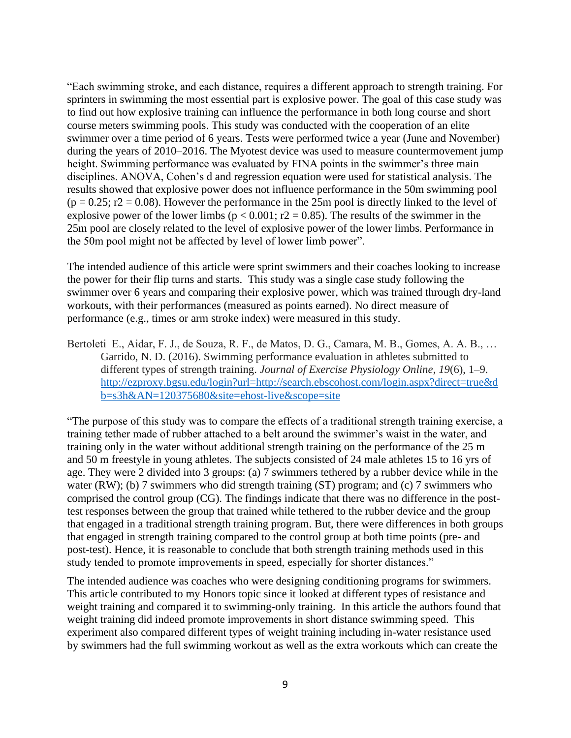"Each swimming stroke, and each distance, requires a different approach to strength training. For sprinters in swimming the most essential part is explosive power. The goal of this case study was to find out how explosive training can influence the performance in both long course and short course meters swimming pools. This study was conducted with the cooperation of an elite swimmer over a time period of 6 years. Tests were performed twice a year (June and November) during the years of 2010–2016. The Myotest device was used to measure countermovement jump height. Swimming performance was evaluated by FINA points in the swimmer's three main disciplines. ANOVA, Cohen's d and regression equation were used for statistical analysis. The results showed that explosive power does not influence performance in the 50m swimming pool  $(p = 0.25; r2 = 0.08)$ . However the performance in the 25m pool is directly linked to the level of explosive power of the lower limbs ( $p < 0.001$ ; r2 = 0.85). The results of the swimmer in the 25m pool are closely related to the level of explosive power of the lower limbs. Performance in the 50m pool might not be affected by level of lower limb power".

The intended audience of this article were sprint swimmers and their coaches looking to increase the power for their flip turns and starts. This study was a single case study following the swimmer over 6 years and comparing their explosive power, which was trained through dry-land workouts, with their performances (measured as points earned). No direct measure of performance (e.g., times or arm stroke index) were measured in this study.

Bertoleti E., Aidar, F. J., de Souza, R. F., de Matos, D. G., Camara, M. B., Gomes, A. A. B., … Garrido, N. D. (2016). Swimming performance evaluation in athletes submitted to different types of strength training. *Journal of Exercise Physiology Online*, *19*(6), 1–9. [http://ezproxy.bgsu.edu/login?url=http://search.ebscohost.com/login.aspx?direct=true&d](http://ezproxy.bgsu.edu/login?url=http://search.ebscohost.com/login.aspx?direct=true&db=s3h&AN=120375680&site=ehost-live&scope=site) [b=s3h&AN=120375680&site=ehost-live&scope=site](http://ezproxy.bgsu.edu/login?url=http://search.ebscohost.com/login.aspx?direct=true&db=s3h&AN=120375680&site=ehost-live&scope=site)

"The purpose of this study was to compare the effects of a traditional strength training exercise, a training tether made of rubber attached to a belt around the swimmer's waist in the water, and training only in the water without additional strength training on the performance of the 25 m and 50 m freestyle in young athletes. The subjects consisted of 24 male athletes 15 to 16 yrs of age. They were 2 divided into 3 groups: (a) 7 swimmers tethered by a rubber device while in the water (RW); (b) 7 swimmers who did strength training (ST) program; and (c) 7 swimmers who comprised the control group (CG). The findings indicate that there was no difference in the posttest responses between the group that trained while tethered to the rubber device and the group that engaged in a traditional strength training program. But, there were differences in both groups that engaged in strength training compared to the control group at both time points (pre- and post-test). Hence, it is reasonable to conclude that both strength training methods used in this study tended to promote improvements in speed, especially for shorter distances."

The intended audience was coaches who were designing conditioning programs for swimmers. This article contributed to my Honors topic since it looked at different types of resistance and weight training and compared it to swimming-only training. In this article the authors found that weight training did indeed promote improvements in short distance swimming speed. This experiment also compared different types of weight training including in-water resistance used by swimmers had the full swimming workout as well as the extra workouts which can create the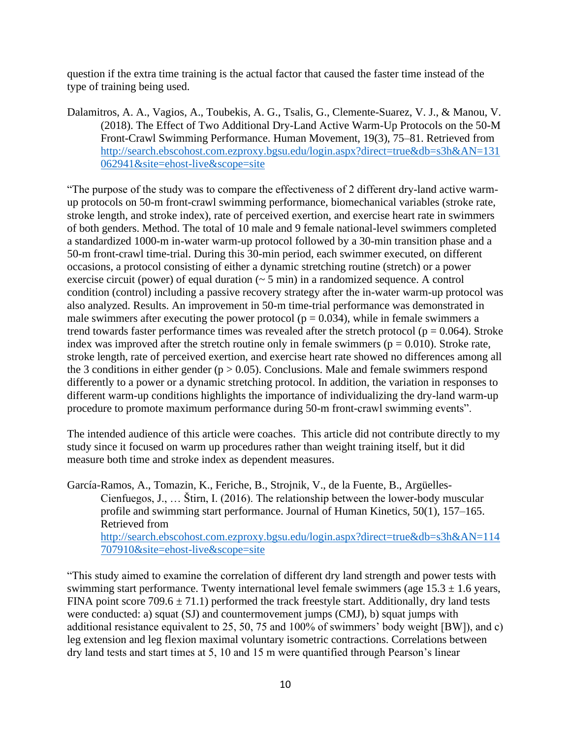question if the extra time training is the actual factor that caused the faster time instead of the type of training being used.

Dalamitros, A. A., Vagios, A., Toubekis, A. G., Tsalis, G., Clemente-Suarez, V. J., & Manou, V. (2018). The Effect of Two Additional Dry-Land Active Warm-Up Protocols on the 50-M Front-Crawl Swimming Performance. Human Movement, 19(3), 75–81. Retrieved from [http://search.ebscohost.com.ezproxy.bgsu.edu/login.aspx?direct=true&db=s3h&AN=131](http://search.ebscohost.com.ezproxy.bgsu.edu/login.aspx?direct=true&db=s3h&AN=131062941&site=ehost-live&scope=site) [062941&site=ehost-live&scope=site](http://search.ebscohost.com.ezproxy.bgsu.edu/login.aspx?direct=true&db=s3h&AN=131062941&site=ehost-live&scope=site)

"The purpose of the study was to compare the effectiveness of 2 different dry-land active warmup protocols on 50-m front-crawl swimming performance, biomechanical variables (stroke rate, stroke length, and stroke index), rate of perceived exertion, and exercise heart rate in swimmers of both genders. Method. The total of 10 male and 9 female national-level swimmers completed a standardized 1000-m in-water warm-up protocol followed by a 30-min transition phase and a 50-m front-crawl time-trial. During this 30-min period, each swimmer executed, on different occasions, a protocol consisting of either a dynamic stretching routine (stretch) or a power exercise circuit (power) of equal duration (~ 5 min) in a randomized sequence. A control condition (control) including a passive recovery strategy after the in-water warm-up protocol was also analyzed. Results. An improvement in 50-m time-trial performance was demonstrated in male swimmers after executing the power protocol ( $p = 0.034$ ), while in female swimmers a trend towards faster performance times was revealed after the stretch protocol ( $p = 0.064$ ). Stroke index was improved after the stretch routine only in female swimmers ( $p = 0.010$ ). Stroke rate, stroke length, rate of perceived exertion, and exercise heart rate showed no differences among all the 3 conditions in either gender ( $p > 0.05$ ). Conclusions. Male and female swimmers respond differently to a power or a dynamic stretching protocol. In addition, the variation in responses to different warm-up conditions highlights the importance of individualizing the dry-land warm-up procedure to promote maximum performance during 50-m front-crawl swimming events".

The intended audience of this article were coaches. This article did not contribute directly to my study since it focused on warm up procedures rather than weight training itself, but it did measure both time and stroke index as dependent measures.

García-Ramos, A., Tomazin, K., Feriche, B., Strojnik, V., de la Fuente, B., Argüelles-Cienfuegos, J., … Štirn, I. (2016). The relationship between the lower-body muscular profile and swimming start performance. Journal of Human Kinetics, 50(1), 157–165. Retrieved from [http://search.ebscohost.com.ezproxy.bgsu.edu/login.aspx?direct=true&db=s3h&AN=114](http://search.ebscohost.com.ezproxy.bgsu.edu/login.aspx?direct=true&db=s3h&AN=114707910&site=ehost-live&scope=site) [707910&site=ehost-live&scope=site](http://search.ebscohost.com.ezproxy.bgsu.edu/login.aspx?direct=true&db=s3h&AN=114707910&site=ehost-live&scope=site)

"This study aimed to examine the correlation of different dry land strength and power tests with swimming start performance. Twenty international level female swimmers (age  $15.3 \pm 1.6$  years, FINA point score  $709.6 \pm 71.1$ ) performed the track freestyle start. Additionally, dry land tests were conducted: a) squat (SJ) and countermovement jumps (CMJ), b) squat jumps with additional resistance equivalent to 25, 50, 75 and 100% of swimmers' body weight [BW]), and c) leg extension and leg flexion maximal voluntary isometric contractions. Correlations between dry land tests and start times at 5, 10 and 15 m were quantified through Pearson's linear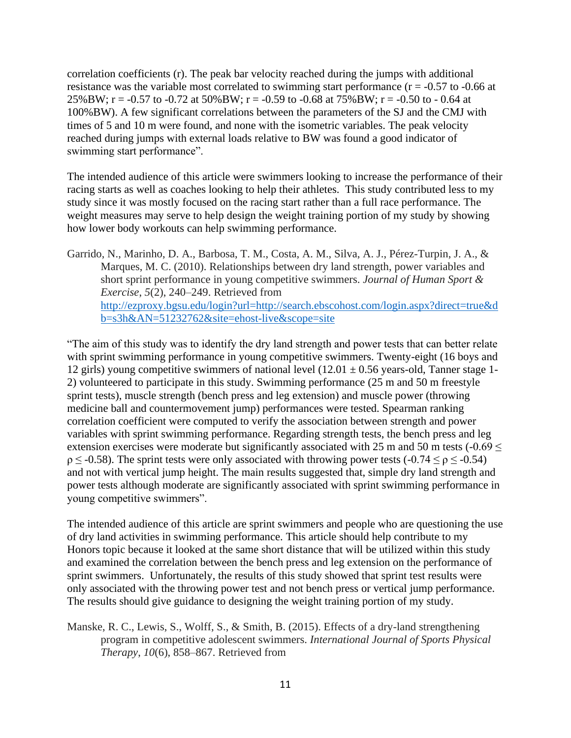correlation coefficients (r). The peak bar velocity reached during the jumps with additional resistance was the variable most correlated to swimming start performance ( $r = -0.57$  to  $-0.66$  at 25%BW; r = -0.57 to -0.72 at 50%BW; r = -0.59 to -0.68 at 75%BW; r = -0.50 to - 0.64 at 100%BW). A few significant correlations between the parameters of the SJ and the CMJ with times of 5 and 10 m were found, and none with the isometric variables. The peak velocity reached during jumps with external loads relative to BW was found a good indicator of swimming start performance".

The intended audience of this article were swimmers looking to increase the performance of their racing starts as well as coaches looking to help their athletes. This study contributed less to my study since it was mostly focused on the racing start rather than a full race performance. The weight measures may serve to help design the weight training portion of my study by showing how lower body workouts can help swimming performance.

Garrido, N., Marinho, D. A., Barbosa, T. M., Costa, A. M., Silva, A. J., Pérez-Turpin, J. A., & Marques, M. C. (2010). Relationships between dry land strength, power variables and short sprint performance in young competitive swimmers. *Journal of Human Sport & Exercise*, *5*(2), 240–249. Retrieved from [http://ezproxy.bgsu.edu/login?url=http://search.ebscohost.com/login.aspx?direct=true&d](http://ezproxy.bgsu.edu/login?url=http://search.ebscohost.com/login.aspx?direct=true&db=s3h&AN=51232762&site=ehost-live&scope=site) [b=s3h&AN=51232762&site=ehost-live&scope=site](http://ezproxy.bgsu.edu/login?url=http://search.ebscohost.com/login.aspx?direct=true&db=s3h&AN=51232762&site=ehost-live&scope=site)

"The aim of this study was to identify the dry land strength and power tests that can better relate with sprint swimming performance in young competitive swimmers. Twenty-eight (16 boys and 12 girls) young competitive swimmers of national level  $(12.01 \pm 0.56$  years-old, Tanner stage 1-2) volunteered to participate in this study. Swimming performance (25 m and 50 m freestyle sprint tests), muscle strength (bench press and leg extension) and muscle power (throwing medicine ball and countermovement jump) performances were tested. Spearman ranking correlation coefficient were computed to verify the association between strength and power variables with sprint swimming performance. Regarding strength tests, the bench press and leg extension exercises were moderate but significantly associated with 25 m and 50 m tests  $(-0.69 <$  $\rho \leq -0.58$ ). The sprint tests were only associated with throwing power tests  $(-0.74 \leq \rho \leq -0.54)$ and not with vertical jump height. The main results suggested that, simple dry land strength and power tests although moderate are significantly associated with sprint swimming performance in young competitive swimmers".

The intended audience of this article are sprint swimmers and people who are questioning the use of dry land activities in swimming performance. This article should help contribute to my Honors topic because it looked at the same short distance that will be utilized within this study and examined the correlation between the bench press and leg extension on the performance of sprint swimmers. Unfortunately, the results of this study showed that sprint test results were only associated with the throwing power test and not bench press or vertical jump performance. The results should give guidance to designing the weight training portion of my study.

Manske, R. C., Lewis, S., Wolff, S., & Smith, B. (2015). Effects of a dry-land strengthening program in competitive adolescent swimmers. *International Journal of Sports Physical Therapy*, *10*(6), 858–867. Retrieved from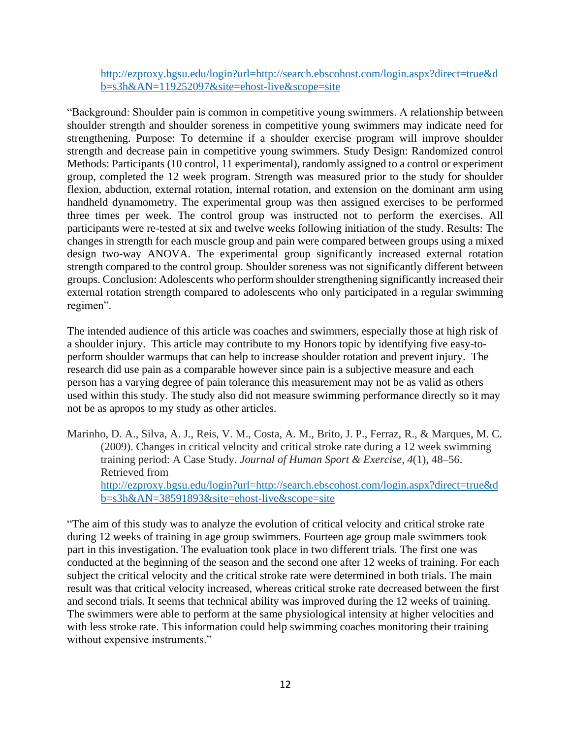[http://ezproxy.bgsu.edu/login?url=http://search.ebscohost.com/login.aspx?direct=true&d](http://ezproxy.bgsu.edu/login?url=http://search.ebscohost.com/login.aspx?direct=true&db=s3h&AN=119252097&site=ehost-live&scope=site) [b=s3h&AN=119252097&site=ehost-live&scope=site](http://ezproxy.bgsu.edu/login?url=http://search.ebscohost.com/login.aspx?direct=true&db=s3h&AN=119252097&site=ehost-live&scope=site)

"Background: Shoulder pain is common in competitive young swimmers. A relationship between shoulder strength and shoulder soreness in competitive young swimmers may indicate need for strengthening. Purpose: To determine if a shoulder exercise program will improve shoulder strength and decrease pain in competitive young swimmers. Study Design: Randomized control Methods: Participants (10 control, 11 experimental), randomly assigned to a control or experiment group, completed the 12 week program. Strength was measured prior to the study for shoulder flexion, abduction, external rotation, internal rotation, and extension on the dominant arm using handheld dynamometry. The experimental group was then assigned exercises to be performed three times per week. The control group was instructed not to perform the exercises. All participants were re-tested at six and twelve weeks following initiation of the study. Results: The changes in strength for each muscle group and pain were compared between groups using a mixed design two-way ANOVA. The experimental group significantly increased external rotation strength compared to the control group. Shoulder soreness was not significantly different between groups. Conclusion: Adolescents who perform shoulder strengthening significantly increased their external rotation strength compared to adolescents who only participated in a regular swimming regimen".

The intended audience of this article was coaches and swimmers, especially those at high risk of a shoulder injury. This article may contribute to my Honors topic by identifying five easy-toperform shoulder warmups that can help to increase shoulder rotation and prevent injury. The research did use pain as a comparable however since pain is a subjective measure and each person has a varying degree of pain tolerance this measurement may not be as valid as others used within this study. The study also did not measure swimming performance directly so it may not be as apropos to my study as other articles.

Marinho, D. A., Silva, A. J., Reis, V. M., Costa, A. M., Brito, J. P., Ferraz, R., & Marques, M. C. (2009). Changes in critical velocity and critical stroke rate during a 12 week swimming training period: A Case Study. *Journal of Human Sport & Exercise*, *4*(1), 48–56. Retrieved from [http://ezproxy.bgsu.edu/login?url=http://search.ebscohost.com/login.aspx?direct=true&d](http://ezproxy.bgsu.edu/login?url=http://search.ebscohost.com/login.aspx?direct=true&db=s3h&AN=38591893&site=ehost-live&scope=site) [b=s3h&AN=38591893&site=ehost-live&scope=site](http://ezproxy.bgsu.edu/login?url=http://search.ebscohost.com/login.aspx?direct=true&db=s3h&AN=38591893&site=ehost-live&scope=site)

"The aim of this study was to analyze the evolution of critical velocity and critical stroke rate during 12 weeks of training in age group swimmers. Fourteen age group male swimmers took part in this investigation. The evaluation took place in two different trials. The first one was conducted at the beginning of the season and the second one after 12 weeks of training. For each subject the critical velocity and the critical stroke rate were determined in both trials. The main result was that critical velocity increased, whereas critical stroke rate decreased between the first and second trials. It seems that technical ability was improved during the 12 weeks of training. The swimmers were able to perform at the same physiological intensity at higher velocities and with less stroke rate. This information could help swimming coaches monitoring their training without expensive instruments."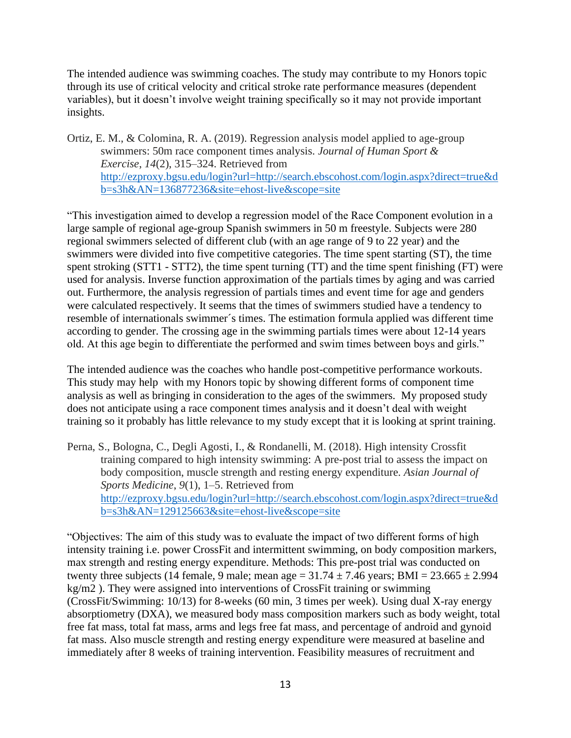The intended audience was swimming coaches. The study may contribute to my Honors topic through its use of critical velocity and critical stroke rate performance measures (dependent variables), but it doesn't involve weight training specifically so it may not provide important insights.

Ortiz, E. M., & Colomina, R. A. (2019). Regression analysis model applied to age-group swimmers: 50m race component times analysis. *Journal of Human Sport & Exercise*, *14*(2), 315–324. Retrieved from [http://ezproxy.bgsu.edu/login?url=http://search.ebscohost.com/login.aspx?direct=true&d](http://ezproxy.bgsu.edu/login?url=http://search.ebscohost.com/login.aspx?direct=true&db=s3h&AN=136877236&site=ehost-live&scope=site) [b=s3h&AN=136877236&site=ehost-live&scope=site](http://ezproxy.bgsu.edu/login?url=http://search.ebscohost.com/login.aspx?direct=true&db=s3h&AN=136877236&site=ehost-live&scope=site)

"This investigation aimed to develop a regression model of the Race Component evolution in a large sample of regional age-group Spanish swimmers in 50 m freestyle. Subjects were 280 regional swimmers selected of different club (with an age range of 9 to 22 year) and the swimmers were divided into five competitive categories. The time spent starting (ST), the time spent stroking (STT1 - STT2), the time spent turning (TT) and the time spent finishing (FT) were used for analysis. Inverse function approximation of the partials times by aging and was carried out. Furthermore, the analysis regression of partials times and event time for age and genders were calculated respectively. It seems that the times of swimmers studied have a tendency to resemble of internationals swimmer´s times. The estimation formula applied was different time according to gender. The crossing age in the swimming partials times were about 12-14 years old. At this age begin to differentiate the performed and swim times between boys and girls."

The intended audience was the coaches who handle post-competitive performance workouts. This study may help with my Honors topic by showing different forms of component time analysis as well as bringing in consideration to the ages of the swimmers. My proposed study does not anticipate using a race component times analysis and it doesn't deal with weight training so it probably has little relevance to my study except that it is looking at sprint training.

Perna, S., Bologna, C., Degli Agosti, I., & Rondanelli, M. (2018). High intensity Crossfit training compared to high intensity swimming: A pre-post trial to assess the impact on body composition, muscle strength and resting energy expenditure. *Asian Journal of Sports Medicine*, *9*(1), 1–5. Retrieved from [http://ezproxy.bgsu.edu/login?url=http://search.ebscohost.com/login.aspx?direct=true&d](http://ezproxy.bgsu.edu/login?url=http://search.ebscohost.com/login.aspx?direct=true&db=s3h&AN=129125663&site=ehost-live&scope=site) [b=s3h&AN=129125663&site=ehost-live&scope=site](http://ezproxy.bgsu.edu/login?url=http://search.ebscohost.com/login.aspx?direct=true&db=s3h&AN=129125663&site=ehost-live&scope=site)

"Objectives: The aim of this study was to evaluate the impact of two different forms of high intensity training i.e. power CrossFit and intermittent swimming, on body composition markers, max strength and resting energy expenditure. Methods: This pre-post trial was conducted on twenty three subjects (14 female, 9 male; mean age =  $31.74 \pm 7.46$  years; BMI =  $23.665 \pm 2.994$ kg/m2 ). They were assigned into interventions of CrossFit training or swimming (CrossFit/Swimming: 10/13) for 8-weeks (60 min, 3 times per week). Using dual X-ray energy absorptiometry (DXA), we measured body mass composition markers such as body weight, total free fat mass, total fat mass, arms and legs free fat mass, and percentage of android and gynoid fat mass. Also muscle strength and resting energy expenditure were measured at baseline and immediately after 8 weeks of training intervention. Feasibility measures of recruitment and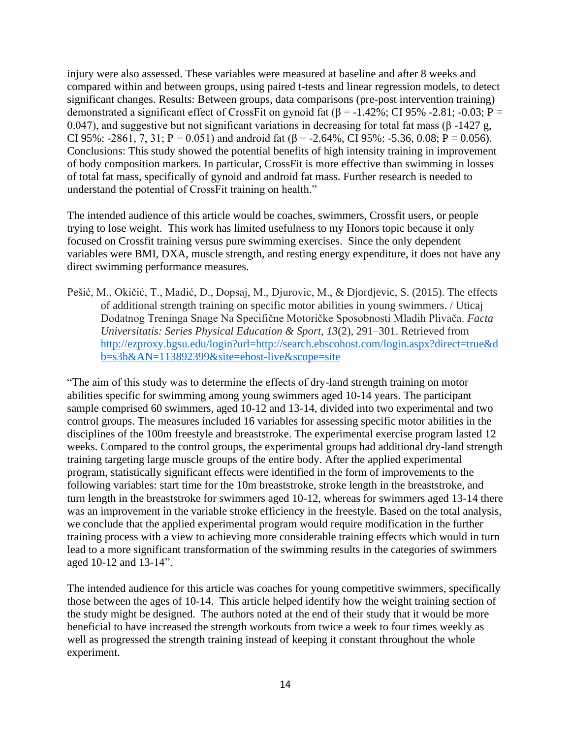injury were also assessed. These variables were measured at baseline and after 8 weeks and compared within and between groups, using paired t-tests and linear regression models, to detect significant changes. Results: Between groups, data comparisons (pre-post intervention training) demonstrated a significant effect of CrossFit on gynoid fat ( $\beta$  = -1.42%; CI 95% -2.81; -0.03; P = 0.047), and suggestive but not significant variations in decreasing for total fat mass ( $\beta$ -1427 g, CI 95%: -2861, 7, 31; P = 0.051) and android fat ( $\beta$  = -2.64%, CI 95%: -5.36, 0.08; P = 0.056). Conclusions: This study showed the potential benefits of high intensity training in improvement of body composition markers. In particular, CrossFit is more effective than swimming in losses of total fat mass, specifically of gynoid and android fat mass. Further research is needed to understand the potential of CrossFit training on health."

The intended audience of this article would be coaches, swimmers, Crossfit users, or people trying to lose weight. This work has limited usefulness to my Honors topic because it only focused on Crossfit training versus pure swimming exercises. Since the only dependent variables were BMI, DXA, muscle strength, and resting energy expenditure, it does not have any direct swimming performance measures.

Pešić, M., Okičić, T., Madić, D., Dopsaj, M., Djurovic, M., & Djordjevic, S. (2015). The effects of additional strength training on specific motor abilities in young swimmers. / Uticaj Dodatnog Treninga Snage Na Specifične Motoričke Sposobnosti Mladih Plivača. *Facta Universitatis: Series Physical Education & Sport*, *13*(2), 291–301. Retrieved from [http://ezproxy.bgsu.edu/login?url=http://search.ebscohost.com/login.aspx?direct=true&d](http://ezproxy.bgsu.edu/login?url=http://search.ebscohost.com/login.aspx?direct=true&db=s3h&AN=113892399&site=ehost-live&scope=site) [b=s3h&AN=113892399&site=ehost-live&scope=site](http://ezproxy.bgsu.edu/login?url=http://search.ebscohost.com/login.aspx?direct=true&db=s3h&AN=113892399&site=ehost-live&scope=site)

"The aim of this study was to determine the effects of dry-land strength training on motor abilities specific for swimming among young swimmers aged 10-14 years. The participant sample comprised 60 swimmers, aged 10-12 and 13-14, divided into two experimental and two control groups. The measures included 16 variables for assessing specific motor abilities in the disciplines of the 100m freestyle and breaststroke. The experimental exercise program lasted 12 weeks. Compared to the control groups, the experimental groups had additional dry-land strength training targeting large muscle groups of the entire body. After the applied experimental program, statistically significant effects were identified in the form of improvements to the following variables: start time for the 10m breaststroke, stroke length in the breaststroke, and turn length in the breaststroke for swimmers aged 10-12, whereas for swimmers aged 13-14 there was an improvement in the variable stroke efficiency in the freestyle. Based on the total analysis, we conclude that the applied experimental program would require modification in the further training process with a view to achieving more considerable training effects which would in turn lead to a more significant transformation of the swimming results in the categories of swimmers aged 10-12 and 13-14".

The intended audience for this article was coaches for young competitive swimmers, specifically those between the ages of 10-14. This article helped identify how the weight training section of the study might be designed. The authors noted at the end of their study that it would be more beneficial to have increased the strength workouts from twice a week to four times weekly as well as progressed the strength training instead of keeping it constant throughout the whole experiment.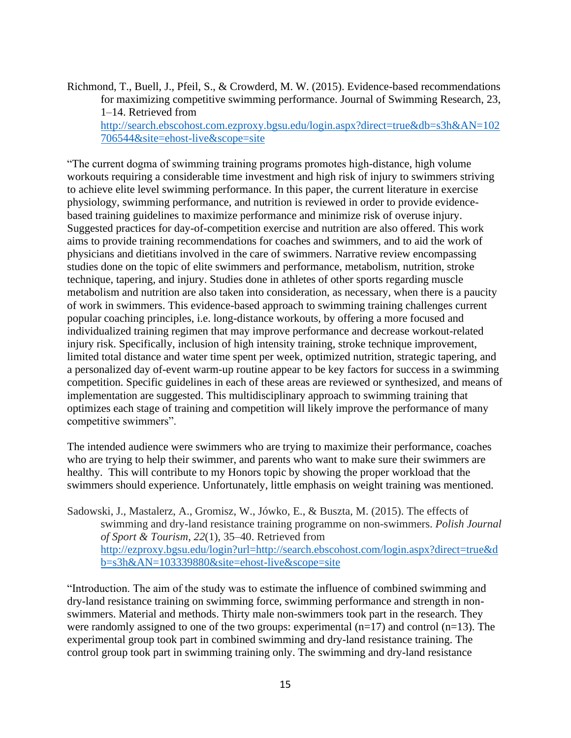Richmond, T., Buell, J., Pfeil, S., & Crowderd, M. W. (2015). Evidence-based recommendations for maximizing competitive swimming performance. Journal of Swimming Research, 23, 1–14. Retrieved from [http://search.ebscohost.com.ezproxy.bgsu.edu/login.aspx?direct=true&db=s3h&AN=102](http://search.ebscohost.com.ezproxy.bgsu.edu/login.aspx?direct=true&db=s3h&AN=102706544&site=ehost-live&scope=site) [706544&site=ehost-live&scope=site](http://search.ebscohost.com.ezproxy.bgsu.edu/login.aspx?direct=true&db=s3h&AN=102706544&site=ehost-live&scope=site)

"The current dogma of swimming training programs promotes high-distance, high volume workouts requiring a considerable time investment and high risk of injury to swimmers striving to achieve elite level swimming performance. In this paper, the current literature in exercise physiology, swimming performance, and nutrition is reviewed in order to provide evidencebased training guidelines to maximize performance and minimize risk of overuse injury. Suggested practices for day-of-competition exercise and nutrition are also offered. This work aims to provide training recommendations for coaches and swimmers, and to aid the work of physicians and dietitians involved in the care of swimmers. Narrative review encompassing studies done on the topic of elite swimmers and performance, metabolism, nutrition, stroke technique, tapering, and injury. Studies done in athletes of other sports regarding muscle metabolism and nutrition are also taken into consideration, as necessary, when there is a paucity of work in swimmers. This evidence-based approach to swimming training challenges current popular coaching principles, i.e. long-distance workouts, by offering a more focused and individualized training regimen that may improve performance and decrease workout-related injury risk. Specifically, inclusion of high intensity training, stroke technique improvement, limited total distance and water time spent per week, optimized nutrition, strategic tapering, and a personalized day of-event warm-up routine appear to be key factors for success in a swimming competition. Specific guidelines in each of these areas are reviewed or synthesized, and means of implementation are suggested. This multidisciplinary approach to swimming training that optimizes each stage of training and competition will likely improve the performance of many competitive swimmers".

The intended audience were swimmers who are trying to maximize their performance, coaches who are trying to help their swimmer, and parents who want to make sure their swimmers are healthy. This will contribute to my Honors topic by showing the proper workload that the swimmers should experience. Unfortunately, little emphasis on weight training was mentioned.

Sadowski, J., Mastalerz, A., Gromisz, W., Jówko, E., & Buszta, M. (2015). The effects of swimming and dry-land resistance training programme on non-swimmers. *Polish Journal of Sport & Tourism*, *22*(1), 35–40. Retrieved from [http://ezproxy.bgsu.edu/login?url=http://search.ebscohost.com/login.aspx?direct=true&d](http://ezproxy.bgsu.edu/login?url=http://search.ebscohost.com/login.aspx?direct=true&db=s3h&AN=103339880&site=ehost-live&scope=site) [b=s3h&AN=103339880&site=ehost-live&scope=site](http://ezproxy.bgsu.edu/login?url=http://search.ebscohost.com/login.aspx?direct=true&db=s3h&AN=103339880&site=ehost-live&scope=site)

"Introduction. The aim of the study was to estimate the influence of combined swimming and dry-land resistance training on swimming force, swimming performance and strength in nonswimmers. Material and methods. Thirty male non-swimmers took part in the research. They were randomly assigned to one of the two groups: experimental  $(n=17)$  and control  $(n=13)$ . The experimental group took part in combined swimming and dry-land resistance training. The control group took part in swimming training only. The swimming and dry-land resistance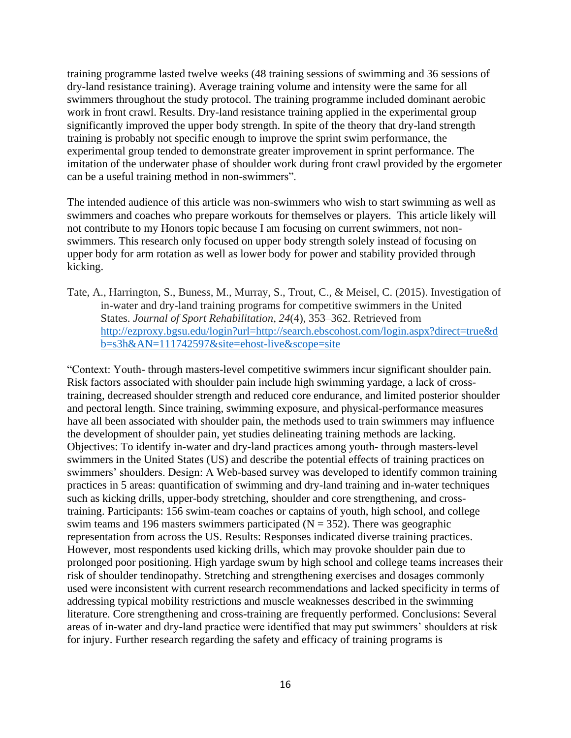training programme lasted twelve weeks (48 training sessions of swimming and 36 sessions of dry-land resistance training). Average training volume and intensity were the same for all swimmers throughout the study protocol. The training programme included dominant aerobic work in front crawl. Results. Dry-land resistance training applied in the experimental group significantly improved the upper body strength. In spite of the theory that dry-land strength training is probably not specific enough to improve the sprint swim performance, the experimental group tended to demonstrate greater improvement in sprint performance. The imitation of the underwater phase of shoulder work during front crawl provided by the ergometer can be a useful training method in non-swimmers".

The intended audience of this article was non-swimmers who wish to start swimming as well as swimmers and coaches who prepare workouts for themselves or players. This article likely will not contribute to my Honors topic because I am focusing on current swimmers, not nonswimmers. This research only focused on upper body strength solely instead of focusing on upper body for arm rotation as well as lower body for power and stability provided through kicking.

Tate, A., Harrington, S., Buness, M., Murray, S., Trout, C., & Meisel, C. (2015). Investigation of in-water and dry-land training programs for competitive swimmers in the United States. *Journal of Sport Rehabilitation*, *24*(4), 353–362. Retrieved from [http://ezproxy.bgsu.edu/login?url=http://search.ebscohost.com/login.aspx?direct=true&d](http://ezproxy.bgsu.edu/login?url=http://search.ebscohost.com/login.aspx?direct=true&db=s3h&AN=111742597&site=ehost-live&scope=site) [b=s3h&AN=111742597&site=ehost-live&scope=site](http://ezproxy.bgsu.edu/login?url=http://search.ebscohost.com/login.aspx?direct=true&db=s3h&AN=111742597&site=ehost-live&scope=site)

"Context: Youth- through masters-level competitive swimmers incur significant shoulder pain. Risk factors associated with shoulder pain include high swimming yardage, a lack of crosstraining, decreased shoulder strength and reduced core endurance, and limited posterior shoulder and pectoral length. Since training, swimming exposure, and physical-performance measures have all been associated with shoulder pain, the methods used to train swimmers may influence the development of shoulder pain, yet studies delineating training methods are lacking. Objectives: To identify in-water and dry-land practices among youth- through masters-level swimmers in the United States (US) and describe the potential effects of training practices on swimmers' shoulders. Design: A Web-based survey was developed to identify common training practices in 5 areas: quantification of swimming and dry-land training and in-water techniques such as kicking drills, upper-body stretching, shoulder and core strengthening, and crosstraining. Participants: 156 swim-team coaches or captains of youth, high school, and college swim teams and 196 masters swimmers participated ( $N = 352$ ). There was geographic representation from across the US. Results: Responses indicated diverse training practices. However, most respondents used kicking drills, which may provoke shoulder pain due to prolonged poor positioning. High yardage swum by high school and college teams increases their risk of shoulder tendinopathy. Stretching and strengthening exercises and dosages commonly used were inconsistent with current research recommendations and lacked specificity in terms of addressing typical mobility restrictions and muscle weaknesses described in the swimming literature. Core strengthening and cross-training are frequently performed. Conclusions: Several areas of in-water and dry-land practice were identified that may put swimmers' shoulders at risk for injury. Further research regarding the safety and efficacy of training programs is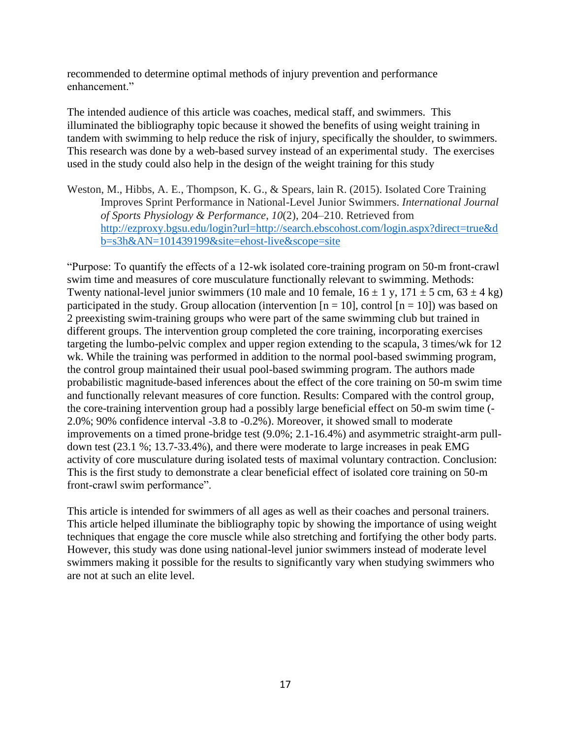recommended to determine optimal methods of injury prevention and performance enhancement."

The intended audience of this article was coaches, medical staff, and swimmers. This illuminated the bibliography topic because it showed the benefits of using weight training in tandem with swimming to help reduce the risk of injury, specifically the shoulder, to swimmers. This research was done by a web-based survey instead of an experimental study. The exercises used in the study could also help in the design of the weight training for this study

Weston, M., Hibbs, A. E., Thompson, K. G., & Spears, lain R. (2015). Isolated Core Training Improves Sprint Performance in National-Level Junior Swimmers. *International Journal of Sports Physiology & Performance*, *10*(2), 204–210. Retrieved from [http://ezproxy.bgsu.edu/login?url=http://search.ebscohost.com/login.aspx?direct=true&d](http://ezproxy.bgsu.edu/login?url=http://search.ebscohost.com/login.aspx?direct=true&db=s3h&AN=101439199&site=ehost-live&scope=site) [b=s3h&AN=101439199&site=ehost-live&scope=site](http://ezproxy.bgsu.edu/login?url=http://search.ebscohost.com/login.aspx?direct=true&db=s3h&AN=101439199&site=ehost-live&scope=site)

"Purpose: To quantify the effects of a 12-wk isolated core-training program on 50-m front-crawl swim time and measures of core musculature functionally relevant to swimming. Methods: Twenty national-level junior swimmers (10 male and 10 female,  $16 \pm 1$  y,  $171 \pm 5$  cm,  $63 \pm 4$  kg) participated in the study. Group allocation (intervention  $[n = 10]$ , control  $[n = 10]$ ) was based on 2 preexisting swim-training groups who were part of the same swimming club but trained in different groups. The intervention group completed the core training, incorporating exercises targeting the lumbo-pelvic complex and upper region extending to the scapula, 3 times/wk for 12 wk. While the training was performed in addition to the normal pool-based swimming program, the control group maintained their usual pool-based swimming program. The authors made probabilistic magnitude-based inferences about the effect of the core training on 50-m swim time and functionally relevant measures of core function. Results: Compared with the control group, the core-training intervention group had a possibly large beneficial effect on 50-m swim time (- 2.0%; 90% confidence interval -3.8 to -0.2%). Moreover, it showed small to moderate improvements on a timed prone-bridge test (9.0%; 2.1-16.4%) and asymmetric straight-arm pulldown test (23.1 %; 13.7-33.4%), and there were moderate to large increases in peak EMG activity of core musculature during isolated tests of maximal voluntary contraction. Conclusion: This is the first study to demonstrate a clear beneficial effect of isolated core training on 50-m front-crawl swim performance".

This article is intended for swimmers of all ages as well as their coaches and personal trainers. This article helped illuminate the bibliography topic by showing the importance of using weight techniques that engage the core muscle while also stretching and fortifying the other body parts. However, this study was done using national-level junior swimmers instead of moderate level swimmers making it possible for the results to significantly vary when studying swimmers who are not at such an elite level.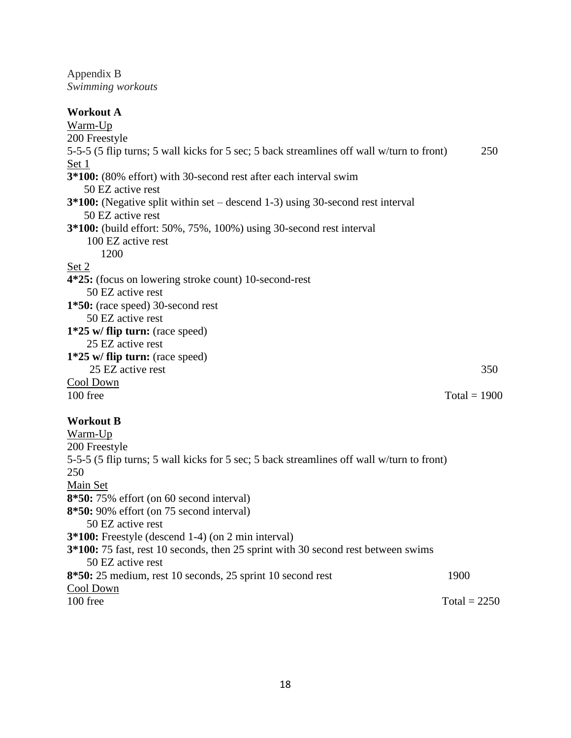Appendix B *Swimming workouts*

| <b>Workout A</b>                                                                                 |  |
|--------------------------------------------------------------------------------------------------|--|
| Warm-Up                                                                                          |  |
| 200 Freestyle                                                                                    |  |
| 5-5-5 (5 flip turns; 5 wall kicks for 5 sec; 5 back streamlines off wall w/turn to front)<br>250 |  |
| Set 1                                                                                            |  |
| 3*100: (80% effort) with 30-second rest after each interval swim                                 |  |
| 50 EZ active rest                                                                                |  |
| $3*100$ : (Negative split within set – descend 1-3) using 30-second rest interval                |  |
| 50 EZ active rest                                                                                |  |
| <b>3*100:</b> (build effort: 50%, 75%, 100%) using 30-second rest interval                       |  |
| 100 EZ active rest                                                                               |  |
| 1200                                                                                             |  |
| Set 2                                                                                            |  |
| 4*25: (focus on lowering stroke count) 10-second-rest                                            |  |
| 50 EZ active rest                                                                                |  |
| 1*50: (race speed) 30-second rest                                                                |  |
| 50 EZ active rest                                                                                |  |
| $1*25$ w/ flip turn: (race speed)                                                                |  |
| 25 EZ active rest                                                                                |  |
| $1*25$ w/ flip turn: (race speed)                                                                |  |
| 25 EZ active rest<br>350                                                                         |  |
| Cool Down                                                                                        |  |
| 100 free<br>$Total = 1900$                                                                       |  |
| <b>Workout B</b>                                                                                 |  |
| Warm-Up                                                                                          |  |
| 200 Freestyle                                                                                    |  |
| 5-5-5 (5 flip turns; 5 wall kicks for 5 sec; 5 back streamlines off wall w/turn to front)        |  |
| 250                                                                                              |  |
| Main Set                                                                                         |  |
| 8*50:75% effort (on 60 second interval)                                                          |  |
| 8*50: 90% effort (on 75 second interval)                                                         |  |
| 50 EZ active rest                                                                                |  |
| 3*100: Freestyle (descend 1-4) (on 2 min interval)                                               |  |
| 3*100: 75 fast, rest 10 seconds, then 25 sprint with 30 second rest between swims                |  |

 50 EZ active rest **8\*50:** 25 medium, rest 10 seconds, 25 sprint 10 second rest 1900

Cool Down<br>100 free

 $Total = 2250$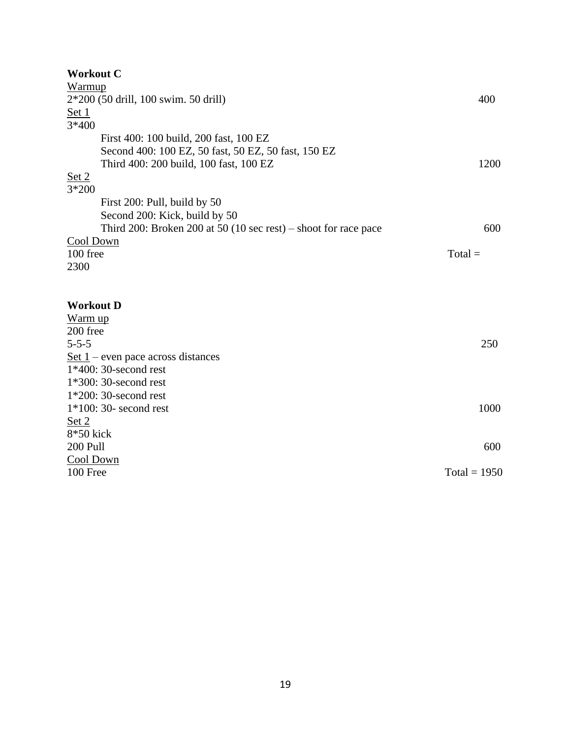| <b>Workout C</b>                                                |                |  |  |  |  |
|-----------------------------------------------------------------|----------------|--|--|--|--|
| Warmup                                                          |                |  |  |  |  |
| 2*200 (50 drill, 100 swim. 50 drill)                            |                |  |  |  |  |
| Set 1                                                           |                |  |  |  |  |
| 3*400                                                           |                |  |  |  |  |
| First 400: 100 build, 200 fast, 100 EZ                          |                |  |  |  |  |
| Second 400: 100 EZ, 50 fast, 50 EZ, 50 fast, 150 EZ             |                |  |  |  |  |
| Third 400: 200 build, 100 fast, 100 EZ                          | 1200           |  |  |  |  |
| Set 2                                                           |                |  |  |  |  |
| 3*200                                                           |                |  |  |  |  |
| First 200: Pull, build by 50                                    |                |  |  |  |  |
| Second 200: Kick, build by 50                                   |                |  |  |  |  |
| Third 200: Broken 200 at 50 (10 sec rest) – shoot for race pace | 600            |  |  |  |  |
| Cool Down                                                       |                |  |  |  |  |
| 100 free                                                        | $Total =$      |  |  |  |  |
| 2300                                                            |                |  |  |  |  |
|                                                                 |                |  |  |  |  |
|                                                                 |                |  |  |  |  |
| <b>Workout D</b>                                                |                |  |  |  |  |
| Warm up                                                         |                |  |  |  |  |
| 200 free                                                        |                |  |  |  |  |
| $5 - 5 - 5$                                                     | 250            |  |  |  |  |
| Set $1$ – even pace across distances                            |                |  |  |  |  |
| $1*400:30$ -second rest                                         |                |  |  |  |  |
| $1*300:30$ -second rest                                         |                |  |  |  |  |
| $1*200:30$ -second rest                                         |                |  |  |  |  |
| $1*100:30$ - second rest                                        |                |  |  |  |  |
| Set 2                                                           |                |  |  |  |  |
| 8*50 kick                                                       |                |  |  |  |  |
| 200 Pull<br>600                                                 |                |  |  |  |  |
| Cool Down                                                       |                |  |  |  |  |
| 100 Free                                                        | Total = $1950$ |  |  |  |  |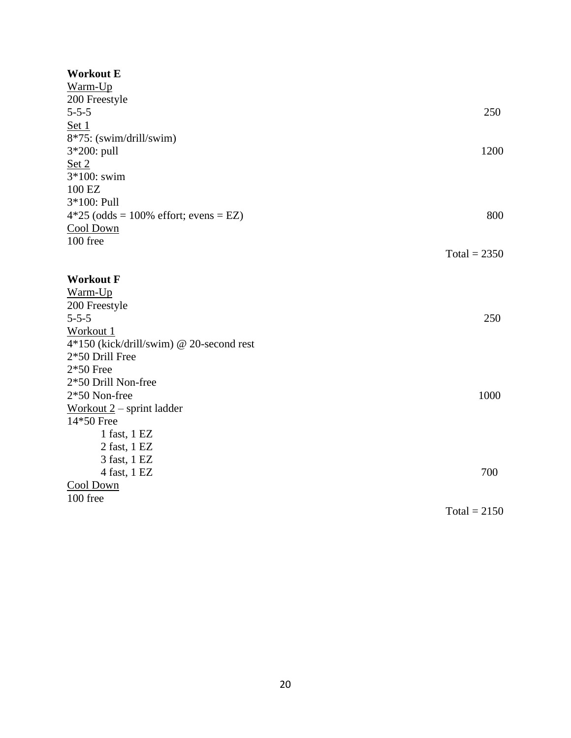## **Workout E**

| Warm-Up                                  |                |
|------------------------------------------|----------------|
| 200 Freestyle                            |                |
| $5 - 5 - 5$                              | 250            |
| Set 1                                    |                |
| 8*75: (swim/drill/swim)                  |                |
| 3*200: pull                              | 1200           |
| Set 2                                    |                |
| 3*100: swim                              |                |
| 100 EZ                                   |                |
| 3*100: Pull                              |                |
| $4*25$ (odds = 100% effort; evens = EZ)  | 800            |
| Cool Down                                |                |
| 100 free                                 |                |
|                                          | $Total = 2350$ |
|                                          |                |
| <b>Workout F</b>                         |                |
| Warm-Up                                  |                |
| 200 Freestyle                            |                |
| $5 - 5 - 5$                              | 250            |
| Workout 1                                |                |
| 4*150 (kick/drill/swim) @ 20-second rest |                |
| 2*50 Drill Free                          |                |
| $2*50$ Free                              |                |
| 2*50 Drill Non-free                      |                |
| 2*50 Non-free                            | 1000           |
| Workout $2$ – sprint ladder              |                |
| 14*50 Free                               |                |
| 1 fast, 1 EZ                             |                |
| 2 fast, 1 EZ                             |                |
| 3 fast, 1 EZ                             |                |
| 4 fast, 1 EZ                             | 700            |
| Cool Down                                |                |
| 100 free                                 |                |
|                                          | $Total = 2150$ |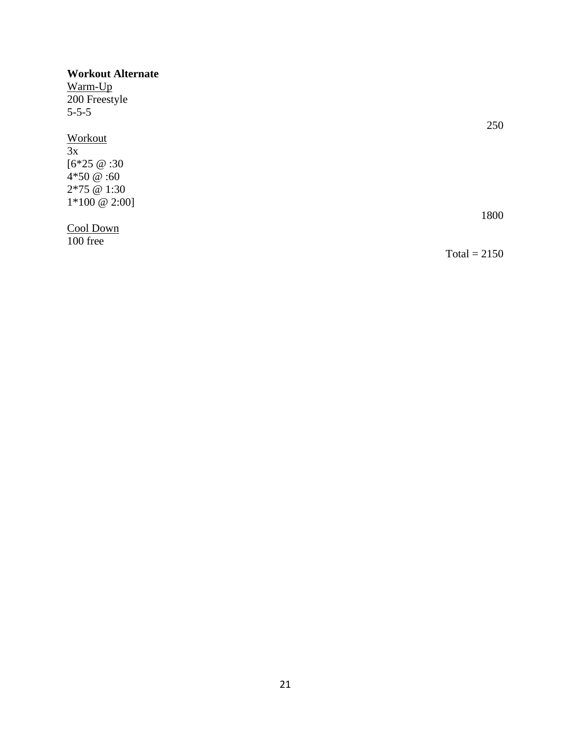## **Workout Alternate**

Warm-Up 200 Freestyle 5-5-5

## **Workout**

 $\overline{3x}$  $[6*25 \t@:30$ 4\*50 @ :60 2\*75 @ 1:30  $1*100 \ @ \ 2:00]$ 

Cool Down

100 free

250

1800

 $Total = 2150$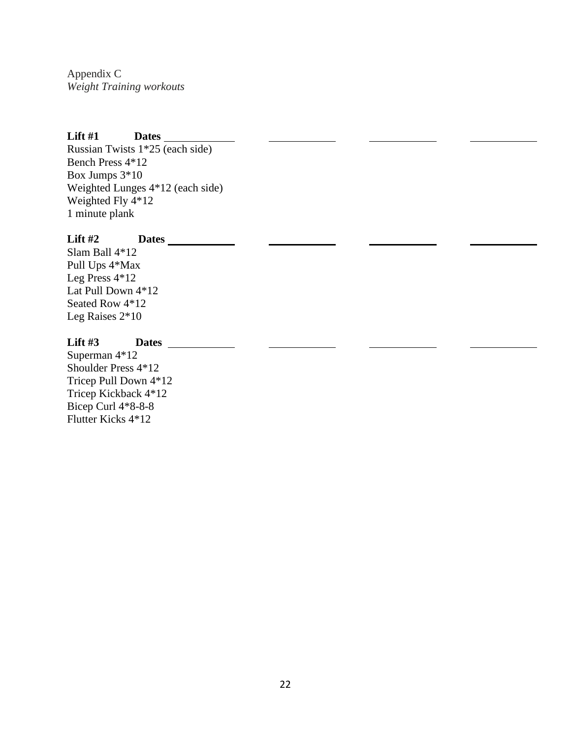Appendix C *Weight Training workouts*

## **Lift #1 Dates**

Russian Twists 1\*25 (each side) Bench Press 4\*12 Box Jumps 3\*10 Weighted Lunges 4\*12 (each side) Weighted Fly 4\*12 1 minute plank

## **Lift #2 Dates**

Slam Ball 4\*12 Pull Ups 4\*Max Leg Press 4\*12 Lat Pull Down 4\*12 Seated Row 4\*12 Leg Raises 2\*10

## **Lift #3 Dates**

Superman 4\*12 Shoulder Press 4\*12 Tricep Pull Down 4\*12 Tricep Kickback 4\*12 Bicep Curl 4\*8-8-8 Flutter Kicks 4\*12